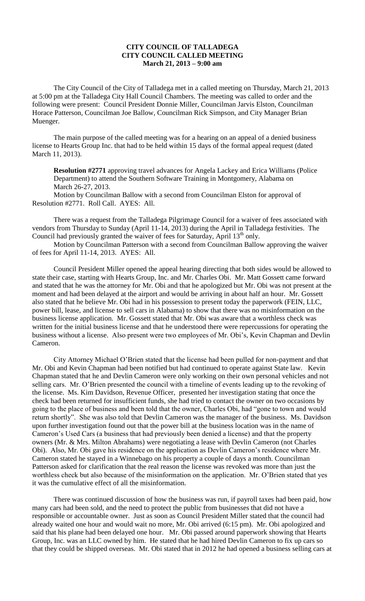## **CITY COUNCIL OF TALLADEGA CITY COUNCIL CALLED MEETING March 21, 2013 – 9:00 am**

The City Council of the City of Talladega met in a called meeting on Thursday, March 21, 2013 at 5:00 pm at the Talladega City Hall Council Chambers. The meeting was called to order and the following were present: Council President Donnie Miller, Councilman Jarvis Elston, Councilman Horace Patterson, Councilman Joe Ballow, Councilman Rick Simpson, and City Manager Brian Muenger.

The main purpose of the called meeting was for a hearing on an appeal of a denied business license to Hearts Group Inc. that had to be held within 15 days of the formal appeal request (dated March 11, 2013).

**Resolution #2771** approving travel advances for Angela Lackey and Erica Williams (Police Department) to attend the Southern Software Training in Montgomery, Alabama on March 26-27, 2013.

Motion by Councilman Ballow with a second from Councilman Elston for approval of Resolution #2771. Roll Call. AYES: All.

There was a request from the Talladega Pilgrimage Council for a waiver of fees associated with vendors from Thursday to Sunday (April 11-14, 2013) during the April in Talladega festivities. The Council had previously granted the waiver of fees for Saturday, April 13<sup>th</sup> only.

Motion by Councilman Patterson with a second from Councilman Ballow approving the waiver of fees for April 11-14, 2013. AYES: All.

Council President Miller opened the appeal hearing directing that both sides would be allowed to state their case, starting with Hearts Group, Inc. and Mr. Charles Obi. Mr. Matt Gossett came forward and stated that he was the attorney for Mr. Obi and that he apologized but Mr. Obi was not present at the moment and had been delayed at the airport and would be arriving in about half an hour. Mr. Gossett also stated that he believe Mr. Obi had in his possession to present today the paperwork (FEIN, LLC, power bill, lease, and license to sell cars in Alabama) to show that there was no misinformation on the business license application. Mr. Gossett stated that Mr. Obi was aware that a worthless check was written for the initial business license and that he understood there were repercussions for operating the business without a license. Also present were two employees of Mr. Obi's, Kevin Chapman and Devlin Cameron.

City Attorney Michael O'Brien stated that the license had been pulled for non-payment and that Mr. Obi and Kevin Chapman had been notified but had continued to operate against State law. Kevin Chapman stated that he and Devlin Cameron were only working on their own personal vehicles and not selling cars. Mr. O'Brien presented the council with a timeline of events leading up to the revoking of the license. Ms. Kim Davidson, Revenue Officer, presented her investigation stating that once the check had been returned for insufficient funds, she had tried to contact the owner on two occasions by going to the place of business and been told that the owner, Charles Obi, had "gone to town and would return shortly". She was also told that Devlin Cameron was the manager of the business. Ms. Davidson upon further investigation found out that the power bill at the business location was in the name of Cameron's Used Cars (a business that had previously been denied a license) and that the property owners (Mr. & Mrs. Milton Abrahams) were negotiating a lease with Devlin Cameron (not Charles Obi). Also, Mr. Obi gave his residence on the application as Devlin Cameron's residence where Mr. Cameron stated he stayed in a Winnebago on his property a couple of days a month. Councilman Patterson asked for clarification that the real reason the license was revoked was more than just the worthless check but also because of the misinformation on the application. Mr. O'Brien stated that yes it was the cumulative effect of all the misinformation.

There was continued discussion of how the business was run, if payroll taxes had been paid, how many cars had been sold, and the need to protect the public from businesses that did not have a responsible or accountable owner. Just as soon as Council President Miller stated that the council had already waited one hour and would wait no more, Mr. Obi arrived (6:15 pm). Mr. Obi apologized and said that his plane had been delayed one hour. Mr. Obi passed around paperwork showing that Hearts Group, Inc. was an LLC owned by him. He stated that he had hired Devlin Cameron to fix up cars so that they could be shipped overseas. Mr. Obi stated that in 2012 he had opened a business selling cars at